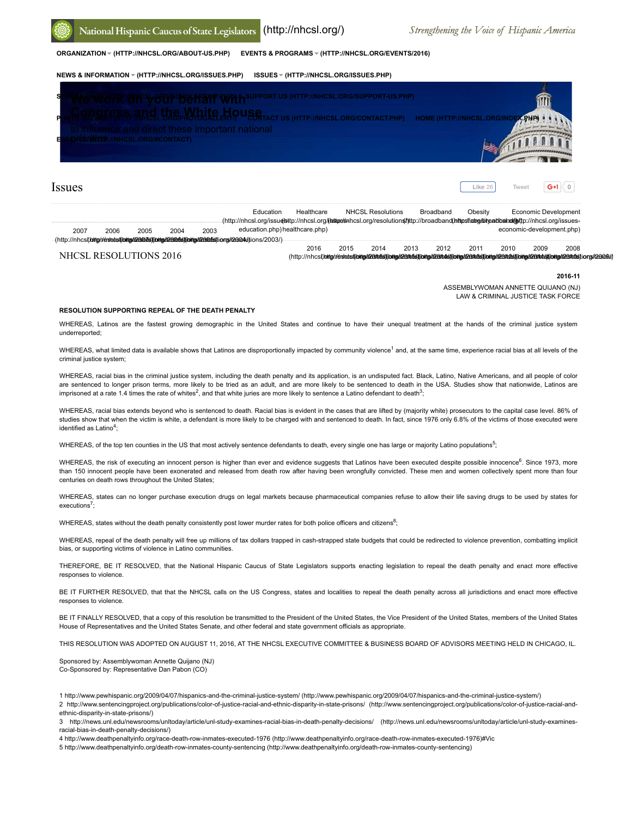

**[ORGANIZATION \(HTTP://NHCSL.ORG/ABOUT-US.PHP\)](http://nhcsl.org/about-us.php) [EVENTS & PROGRAMS \(HTTP://NHCSL.ORG/EVENTS/2016\)](http://nhcsl.org/events/2016)**

## **[NEWS & INFORMATION \(HTTP://NHCSL.ORG/ISSUES.PHP\)](http://nhcsl.org/issues.php) [ISSUES \(HTTP://NHCSL.ORG/ISSUES.PHP\)](http://nhcsl.org/issues.php)**



# Issues

|                        |      |      |      |      | Education                                                                                                                                                           | Healthcare |      | <b>NHCSL Resolutions</b> |      | Broadband | Obesity                   |      | Economic Development |                                                                                                                                                                                                                                |  |
|------------------------|------|------|------|------|---------------------------------------------------------------------------------------------------------------------------------------------------------------------|------------|------|--------------------------|------|-----------|---------------------------|------|----------------------|--------------------------------------------------------------------------------------------------------------------------------------------------------------------------------------------------------------------------------|--|
|                        |      |      |      |      | - (http://nhcsl.org/issu <b>∉s</b> ttp://nhcsl.org/ <b>(sstpe</b> క#hcsl.org/resolution≰/tttp://broadband( <b>https//@be/strpadbahol/@</b> rttp://nhcsl.org/issues- |            |      |                          |      |           |                           |      |                      |                                                                                                                                                                                                                                |  |
| 2007                   | 2006 | 2005 | 2004 | 2003 | education.php) healthcare.php)                                                                                                                                      |            |      |                          |      |           | economic-development.php) |      |                      |                                                                                                                                                                                                                                |  |
|                        |      |      |      |      | .(http://nhcs(.lottg/r/ésiadst(ibttg/l/263073)(ibttg/l/263063)(ibttg/l/263053)ions/l26304/iions/2003/)                                                              |            |      |                          |      |           |                           |      |                      |                                                                                                                                                                                                                                |  |
|                        |      |      |      |      |                                                                                                                                                                     | 2016       | 2015 | 2014                     | 2013 | 2012      | 2011                      | 2010 | 2009                 | 2008                                                                                                                                                                                                                           |  |
| NHCSL RESOLUTIONS 2016 |      |      |      |      |                                                                                                                                                                     |            |      |                          |      |           |                           |      |                      | (http://nhcs(.lottp//ésiadstibring/l23bb3)(bring/l23bb3)(bring/23bb3)(bring/l23bb3)(bring/l23bb3)(bring/l23bb3)(bring/l23bb3)(bring/l23bb3)(bring/l23bb3)(bring/l23bb3)(bring/l23bb3)(bring/l23bb3)(bring/l23bb3)(bring/l23bb3 |  |

**2016-11**

ASSEMBLYWOMAN ANNETTE QUIJANO (NJ) LAW & CRIMINAL JUSTICE TASK FORCE

**Like** 26 [Tweet](https://twitter.com/intent/tweet?original_referer=http%3A%2F%2Fnhcsl.org%2F130%2Fresolution%2Fresolution-supporting-repeal-of-the-death-penalty%2F&ref_src=twsrc%5Etfw&related=NHCSL&text=RESOLUTION%20SUPPORTING%20REPEAL%20OF%20THE%20DEATH%20PENALTY%20%7C%20Resolutions%202016%20%7C%20%20NHCSL&tw_p=tweetbutton&url=http%3A%2F%2Fnhcsl.org%2F130%2Fresolution%2Fresolution-supporting-repeal-of-the-death-penalty%2F&via=NHCSL)  $\boxed{G+1} \setminus 0$ 

#### **RESOLUTION SUPPORTING REPEAL OF THE DEATH PENALTY**

WHEREAS, Latinos are the fastest growing demographic in the United States and continue to have their unequal treatment at the hands of the criminal justice system underreported;

WHEREAS, what limited data is available shows that Latinos are disproportionally impacted by community violence<sup>1</sup> and, at the same time, experience racial bias at all levels of the criminal justice system;

WHEREAS, racial bias in the criminal justice system, including the death penalty and its application, is an undisputed fact. Black, Latino, Native Americans, and all people of color are sentenced to longer prison terms, more likely to be tried as an adult, and are more likely to be sentenced to death in the USA. Studies show that nationwide, Latinos are imprisoned at a rate 1.4 times the rate of whites<sup>2</sup>, and that white juries are more likely to sentence a Latino defendant to death<sup>3</sup>;

WHEREAS, racial bias extends beyond who is sentenced to death. Racial bias is evident in the cases that are lifted by (majority white) prosecutors to the capital case level. 86% of studies show that when the victim is white, a defendant is more likely to be charged with and sentenced to death. In fact, since 1976 only 6.8% of the victims of those executed were identified as Latino<sup>4</sup>;

WHEREAS, of the top ten counties in the US that most actively sentence defendants to death, every single one has large or majority Latino populations<sup>5</sup>;

WHEREAS, the risk of executing an innocent person is higher than ever and evidence suggests that Latinos have been executed despite possible innocence<sup>6</sup>. Since 1973, more than 150 innocent people have been exonerated and released from death row after having been wrongfully convicted. These men and women collectively spent more than four centuries on death rows throughout the United States;

WHEREAS, states can no longer purchase execution drugs on legal markets because pharmaceutical companies refuse to allow their life saving drugs to be used by states for executions<sup>7</sup>;

WHEREAS, states without the death penalty consistently post lower murder rates for both police officers and citizens<sup>8</sup>;

WHEREAS, repeal of the death penalty will free up millions of tax dollars trapped in cash-strapped state budgets that could be redirected to violence prevention, combatting implicit bias, or supporting victims of violence in Latino communities.

THEREFORE, BE IT RESOLVED, that the National Hispanic Caucus of State Legislators supports enacting legislation to repeal the death penalty and enact more effective responses to violence.

BE IT FURTHER RESOLVED, that that the NHCSL calls on the US Congress, states and localities to repeal the death penalty across all jurisdictions and enact more effective responses to violence.

BE IT FINALLY RESOLVED, that a copy of this resolution be transmitted to the President of the United States, the Vice President of the United States, members of the United States House of Representatives and the United States Senate, and other federal and state government officials as appropriate.

THIS RESOLUTION WAS ADOPTED ON AUGUST 11, 2016, AT THE NHCSL EXECUTIVE COMMITTEE & BUSINESS BOARD OF ADVISORS MEETING HELD IN CHICAGO, IL.

Sponsored by: Assemblywoman Annette Quijano (NJ) Co-Sponsored by: Representative Dan Pabon (CO)

1 [http://www.pewhispanic.org/2009/04/07/hispanics-and-the-criminal-justice-system/ \(http://www.pewhispanic.org/2009/04/07/hispanics-and-the-criminal-justice-system/\)](http://www.pewhispanic.org/2009/04/07/hispanics-and-the-criminal-justice-system/)

[2 http://www.sentencingproject.org/publications/color-of-justice-racial-and-ethnic-disparity-in-state-prisons/ \(http://www.sentencingproject.org/publications/color-of-justice-racial-and](http://www.sentencingproject.org/publications/color-of-justice-racial-and-ethnic-disparity-in-state-prisons/)ethnic-disparity-in-state-prisons/)

[3 http://news.unl.edu/newsrooms/unltoday/article/unl-study-examines-racial-bias-in-death-penalty-decisions/ \(http://news.unl.edu/newsrooms/unltoday/article/unl-study-examines](http://news.unl.edu/newsrooms/unltoday/article/unl-study-examines-racial-bias-in-death-penalty-decisions/)racial-bias-in-death-penalty-decisions/)

4 [http://www.deathpenaltyinfo.org/race-death-row-inmates-executed-1976 \(http://www.deathpenaltyinfo.org/race-death-row-inmates-executed-1976\)](http://www.deathpenaltyinfo.org/race-death-row-inmates-executed-1976)#Vic

5 [http://www.deathpenaltyinfo.org/death-row-inmates-county-sentencing \(http://www.deathpenaltyinfo.org/death-row-inmates-county-sentencing\)](http://www.deathpenaltyinfo.org/death-row-inmates-county-sentencing)